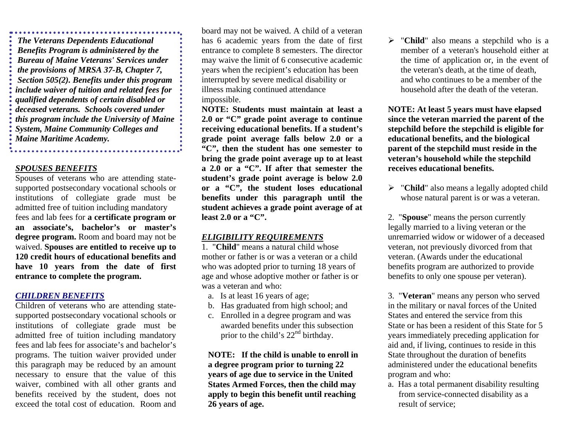*The Veterans Dependents Educational Benefits Program is administered by the Bureau of Maine Veterans' Services under the provisions of MRSA 37-B, Chapter 7, Section 505(2). Benefits under this program include waiver of tuition and related fees for qualified dependents of certain disabled or deceased veterans. Schools covered under this program include the University of Maine System, Maine Community Colleges and Maine Maritime Academy.*

#### *SPOUSES BENEFITS*

Spouses of veterans who are attending statesupported postsecondary vocational schools or institutions of collegiate grade must be admitted free of tuition including mandatory fees and lab fees for **a certificate program or an associate's, bachelor's or master's degree program.** Room and board may not be waived. **Spouses are entitled to receive up to 120 credit hours of educational benefits and have 10 years from the date of first entrance to complete the program.** 

#### *CHILDREN BENEFITS*

Children of veterans who are attending statesupported postsecondary vocational schools or institutions of collegiate grade must be admitted free of tuition including mandatory fees and lab fees for associate's and bachelor's programs. The tuition waiver provided under this paragraph may be reduced by an amount necessary to ensure that the value of this waiver, combined with all other grants and benefits received by the student, does not exceed the total cost of education. Room and

board may not be waived. A child of a veteran has 6 academic years from the date of first entrance to complete 8 semesters. The director may waive the limit of 6 consecutive academic years when the recipient's education has been interrupted by severe medical disability or illness making continued attendance impossible.

**NOTE: Students must maintain at least a 2.0 or "C" grade point average to continue receiving educational benefits. If a student's grade point average falls below 2.0 or a "C", then the student has one semester to bring the grade point average up to at least a 2.0 or a "C". If after that semester the student's grade point average is below 2.0 or a "C", the student loses educational benefits under this paragraph until the student achieves a grade point average of at least 2.0 or a "C".** 

#### *ELIGIBILITY REQUIREMENTS*

1. "**Child**" means a natural child whose mother or father is or was a veteran or a child who was adopted prior to turning 18 years of age and whose adoptive mother or father is or was a veteran and who:

- a. Is at least 16 years of age;
- b. Has graduated from high school; and
- c. Enrolled in a degree program and was awarded benefits under this subsection prior to the child's  $22<sup>nd</sup>$  birthday.

**NOTE: If the child is unable to enroll in a degree program prior to turning 22 years of age due to service in the United States Armed Forces, then the child may apply to begin this benefit until reaching 26 years of age.** 

¾ "**Child**" also means a stepchild who is a member of a veteran's household either at the time of application or, in the event of the veteran's death, at the time of death, and who continues to be a member of the household after the death of the veteran.

**NOTE: At least 5 years must have elapsed since the veteran married the parent of the stepchild before the stepchild is eligible for educational benefits, and the biological parent of the stepchild must reside in the veteran's household while the stepchild receives educational benefits.** 

¾ "**Child**" also means a legally adopted child whose natural parent is or was a veteran.

2. "**Spouse**" means the person currently legally married to a living veteran or the unremarried widow or widower of a deceased veteran, not previously divorced from that veteran. (Awards under the educational benefits program are authorized to provide benefits to only one spouse per veteran).

3. "**Veteran**" means any person who served in the military or naval forces of the United States and entered the service from this State or has been a resident of this State for 5 years immediately preceding application for aid and, if living, continues to reside in this State throughout the duration of benefits administered under the educational benefits program and who:

a. Has a total permanent disability resulting from service-connected disability as a result of service;